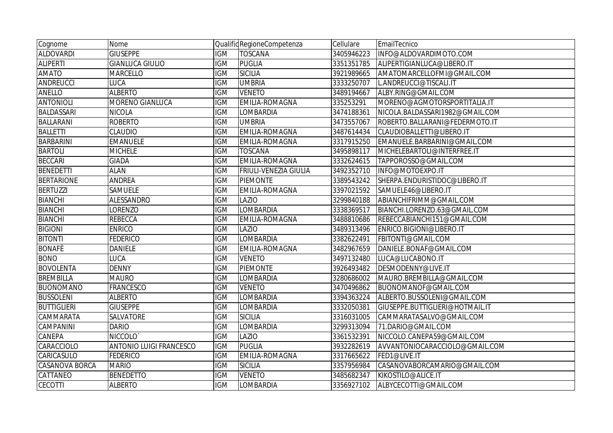| Cognome               | Nome                           |            | Qualific RegioneCompetenza | Cellulare  | EmailTecnico                    |
|-----------------------|--------------------------------|------------|----------------------------|------------|---------------------------------|
| <b>ALDOVARDI</b>      | <b>GIUSEPPE</b>                | <b>IGM</b> | <b>TOSCANA</b>             | 3405946223 | INFO@ALDOVARDIMOTO.COM          |
| <b>ALIPERTI</b>       | <b>GIANLUCA GIULIO</b>         | <b>IGM</b> | <b>PUGLIA</b>              | 3351351785 | ALIPERTIGIANLUCA@LIBERO.IT      |
| <b>AMATO</b>          | <b>MARCELLO</b>                | <b>IGM</b> | <b>SICILIA</b>             | 3921989665 | AMATOMARCELLOFMI@GMAIL.COM      |
| ANDREUCCI             | <b>LUCA</b>                    | <b>IGM</b> | <b>UMBRIA</b>              | 3333250707 | L.ANDREUCCI@TISCALI.IT          |
| <b>ANELLO</b>         | <b>ALBERTO</b>                 | <b>IGM</b> | <b>VENETO</b>              | 3489194667 | ALBY.RING@GMAIL.COM             |
| <b>ANTONIOLI</b>      | MORENO GIANLUCA                | <b>IGM</b> | <b>EMILIA-ROMAGNA</b>      | 335253291  | MORENO@AGMOTORSPORTITALIA.IT    |
| <b>BALDASSARI</b>     | <b>NICOLA</b>                  | <b>IGM</b> | <b>LOMBARDIA</b>           | 3474188361 | NICOLA.BALDASSARI1982@GMAIL.COM |
| <b>BALLARANI</b>      | <b>ROBERTO</b>                 | <b>IGM</b> | <b>UMBRIA</b>              | 3473557067 | ROBERTO.BALLARANI@FEDERMOTO.IT  |
| <b>BALLETTI</b>       | <b>CLAUDIO</b>                 | <b>IGM</b> | EMILIA-ROMAGNA             | 3487614434 | CLAUDIOBALLETTI@LIBERO.IT       |
| <b>BARBARINI</b>      | <b>EMANUELE</b>                | <b>IGM</b> | <b>EMILIA-ROMAGNA</b>      | 3317915250 | EMANUELE.BARBARINI@GMAIL.COM    |
| <b>BARTOLI</b>        | <b>MICHELE</b>                 | <b>IGM</b> | <b>TOSCANA</b>             | 3495898117 | MICHELEBARTOLI@INTERFREE.IT     |
| <b>BECCARI</b>        | <b>GIADA</b>                   | <b>IGM</b> | EMILIA-ROMAGNA             | 3332624615 | TAPPOROSSO@GMAIL.COM            |
| <b>BENEDETTI</b>      | ALAN                           | <b>IGM</b> | FRIULI-VENEZIA GIULIA      | 3492352710 | INFO@MOTOEXPO.IT                |
| <b>BERTARIONE</b>     | ANDREA                         | <b>IGM</b> | <b>PIEMONTE</b>            | 3389543242 | SHERPA.ENDURISTIDOC@LIBERO.IT   |
| <b>BERTUZZI</b>       | SAMUELE                        | <b>IGM</b> | EMILIA-ROMAGNA             | 3397021592 | SAMUELE46@LIBERO.IT             |
| <b>BIANCHI</b>        | ALESSANDRO                     | <b>IGM</b> | LAZIO                      | 3299840188 | ABIANCHIFRIMM@GMAIL.COM         |
| <b>BIANCHI</b>        | LORENZO                        | <b>IGM</b> | <b>LOMBARDIA</b>           | 3338369517 | BIANCHI.LORENZO.63@GMAIL.COM    |
| <b>BIANCHI</b>        | <b>REBECCA</b>                 | <b>IGM</b> | <b>EMILIA-ROMAGNA</b>      | 3488810686 | REBECCABIANCHI151@GMAIL.COM     |
| <b>BIGIONI</b>        | <b>ENRICO</b>                  | <b>IGM</b> | LAZIO                      | 3489313496 | ENRICO.BIGIONI@LIBERO.IT        |
| <b>BITONTI</b>        | <b>FEDERICO</b>                | <b>IGM</b> | <b>LOMBARDIA</b>           | 3382622491 | FBITONTI@GMAIL.COM              |
| <b>BONAFÈ</b>         | <b>DANIELE</b>                 | <b>IGM</b> | <b>EMILIA-ROMAGNA</b>      | 3482967659 | DANIELE.BONAF@GMAIL.COM         |
| <b>BONO</b>           | <b>LUCA</b>                    | <b>IGM</b> | <b>VENETO</b>              | 3497132480 | LUCA@LUCABONO.IT                |
| <b>BOVOLENTA</b>      | <b>DENNY</b>                   | <b>IGM</b> | PIEMONTE                   | 3926493482 | DESMODENNY@LIVE.IT              |
| <b>BREMBILLA</b>      | <b>MAURO</b>                   | <b>IGM</b> | LOMBARDIA                  | 3280686002 | MAURO.BREMBILLA@GMAIL.COM       |
| <b>BUONOMANO</b>      | <b>FRANCESCO</b>               | <b>IGM</b> | <b>VENETO</b>              | 3470496862 | BUONOMANOF@GMAIL.COM            |
| <b>BUSSOLENI</b>      | <b>ALBERTO</b>                 | <b>IGM</b> | LOMBARDIA                  | 3394363224 | ALBERTO.BUSSOLENI@GMAIL.COM     |
| <b>BUTTIGLIERI</b>    | <b>GIUSEPPE</b>                | <b>IGM</b> | LOMBARDIA                  | 3332050381 | GIUSEPPE.BUTTIGLIERI@HOTMAIL.IT |
| <b>CAMMARATA</b>      | SALVATORE                      | <b>IGM</b> | <b>SICILIA</b>             | 3316031005 | CAMMARATASALVO@GMAIL.COM        |
| CAMPANINI             | <b>DARIO</b>                   | <b>IGM</b> | LOMBARDIA                  | 3299313094 | 71.DARIO@GMAIL.COM              |
| CANEPA                | NICCOLO <sup>®</sup>           | <b>IGM</b> | LAZIO                      | 3361532391 | NICCOLO.CANEPA59@GMAIL.COM      |
| CARACCIOLO            | <b>ANTONIO LUIGI FRANCESCO</b> | <b>IGM</b> | <b>PUGLIA</b>              | 3932282619 | AVVANTONIOCARACCIOLO@GMAIL.COM  |
| CARICASULO            | <b>FEDERICO</b>                | <b>IGM</b> | <b>EMILIA-ROMAGNA</b>      | 3317665622 | FED1@LIVE.IT                    |
| <b>CASANOVA BORCA</b> | <b>MARIO</b>                   | <b>IGM</b> | <b>SICILIA</b>             | 3357956984 | CASANOVABORCAMARIO@GMAIL.COM    |
| CATTANEO              | <b>BENEDETTO</b>               | <b>IGM</b> | <b>VENETO</b>              | 3485682347 | KIKOSTILO@ALICE.IT              |
| <b>CECOTTI</b>        | <b>ALBERTO</b>                 | <b>IGM</b> | <b>LOMBARDIA</b>           | 3356927102 | ALBYCECOTTI@GMAIL.COM           |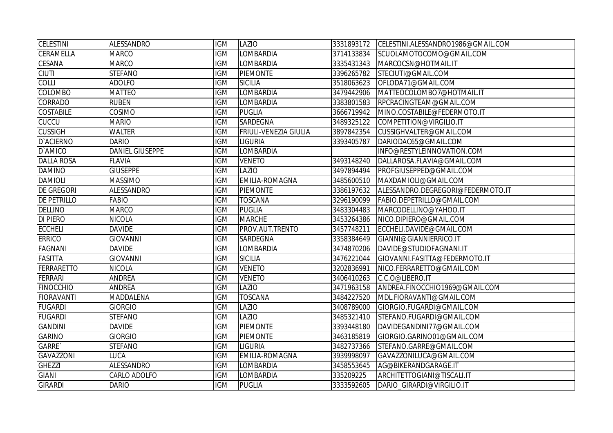| <b>CELESTINI</b>   | ALESSANDRO             | <b>IGM</b> | LAZIO                        | 3331893172 | CELESTINI.ALESSANDRO1986@GMAIL.COM |
|--------------------|------------------------|------------|------------------------------|------------|------------------------------------|
| CERAMELLA          | <b>MARCO</b>           | <b>IGM</b> | LOMBARDIA                    | 3714133834 | SCUOLAMOTOCOMO@GMAIL.COM           |
| <b>CESANA</b>      | <b>MARCO</b>           | <b>IGM</b> | LOMBARDIA                    | 3335431343 | MARCOCSN@HOTMAIL.IT                |
| <b>CIUTI</b>       | <b>STEFANO</b>         | <b>IGM</b> | <b>PIEMONTE</b>              | 3396265782 | STECIUTI@GMAIL.COM                 |
| COLLI              | <b>ADOLFO</b>          | <b>IGM</b> | <b>SICILIA</b>               | 3518063623 | OFLODA71@GMAIL.COM                 |
| <b>COLOMBO</b>     | <b>MATTEO</b>          | <b>IGM</b> | <b>LOMBARDIA</b>             | 3479442906 | MATTEOCOLOMBO7@HOTMAIL.IT          |
| <b>CORRADO</b>     | <b>RUBEN</b>           | <b>IGM</b> | <b>LOMBARDIA</b>             | 3383801583 | RPCRACINGTEAM@GMAIL.COM            |
| <b>COSTABILE</b>   | <b>COSIMO</b>          | <b>IGM</b> | <b>PUGLIA</b>                | 3666719942 | MINO.COSTABILE@FEDERMOTO.IT        |
| <b>CUCCU</b>       | <b>MARIO</b>           | <b>IGM</b> | <b>SARDEGNA</b>              | 3489325122 | COMPETITION@VIRGILIO.IT            |
| <b>CUSSIGH</b>     | <b>WALTER</b>          | <b>IGM</b> | <b>FRIULI-VENEZIA GIULIA</b> | 3897842354 | CUSSIGHVALTER@GMAIL.COM            |
| <b>D'ACIERNO</b>   | <b>DARIO</b>           | <b>IGM</b> | <b>LIGURIA</b>               | 3393405787 | DARIODAC65@GMAIL.COM               |
| D'AMICO            | <b>DANIEL GIUSEPPE</b> | <b>IGM</b> | <b>LOMBARDIA</b>             |            | INFO@RESTYLEINNOVATION.COM         |
| <b>DALLA ROSA</b>  | <b>FLAVIA</b>          | <b>IGM</b> | <b>VENETO</b>                | 3493148240 | DALLAROSA.FLAVIA@GMAIL.COM         |
| <b>DAMINO</b>      | <b>GIUSEPPE</b>        | <b>IGM</b> | LAZIO                        | 3497894494 | PROFGIUSEPPED@GMAIL.COM            |
| <b>DAMIOLI</b>     | <b>MASSIMO</b>         | <b>IGM</b> | <b>EMILIA-ROMAGNA</b>        | 3485600510 | MAXDAMIOLI@GMAIL.COM               |
| <b>DE GREGORI</b>  | <b>ALESSANDRO</b>      | <b>IGM</b> | <b>PIEMONTE</b>              | 3386197632 | ALESSANDRO.DEGREGORI@FEDERMOTO.IT  |
| <b>DE PETRILLO</b> | <b>FABIO</b>           | <b>IGM</b> | TOSCANA                      | 3296190099 | FABIO.DEPETRILLO@GMAIL.COM         |
| <b>DELLINO</b>     | <b>MARCO</b>           | <b>IGM</b> | <b>PUGLIA</b>                | 3483304483 | MARCODELLINO@YAHOO.IT              |
| <b>DI PIERO</b>    | <b>NICOLA</b>          | <b>IGM</b> | <b>MARCHE</b>                | 3453264386 | NICO.DIPIERO@GMAIL.COM             |
| <b>ECCHELI</b>     | <b>DAVIDE</b>          | <b>IGM</b> | PROV.AUT.TRENTO              | 3457748211 | ECCHELI.DAVIDE@GMAIL.COM           |
| <b>ERRICO</b>      | <b>GIOVANNI</b>        | <b>IGM</b> | <b>SARDEGNA</b>              | 3358384649 | GIANNI@GIANNIERRICO.IT             |
| <b>FAGNANI</b>     | <b>DAVIDE</b>          | <b>IGM</b> | LOMBARDIA                    | 3474870206 | DAVIDE@STUDIOFAGNANI.IT            |
| <b>FASITTA</b>     | <b>GIOVANNI</b>        | <b>IGM</b> | <b>SICILIA</b>               | 3476221044 | GIOVANNI.FASITTA@FEDERMOTO.IT      |
| <b>FERRARETTO</b>  | <b>NICOLA</b>          | <b>IGM</b> | <b>VENETO</b>                | 3202836991 | NICO.FERRARETTO@GMAIL.COM          |
| FERRARI            | <b>ANDREA</b>          | <b>IGM</b> | <b>VENETO</b>                | 3406410263 | C.C.O@LIBERO.IT                    |
| <b>FINOCCHIO</b>   | <b>ANDREA</b>          | <b>IGM</b> | LAZIO                        | 3471963158 | ANDREA.FINOCCHIO1969@GMAIL.COM     |
| <b>FIORAVANTI</b>  | MADDALENA              | <b>IGM</b> | <b>TOSCANA</b>               | 3484227520 | MDL.FIORAVANTI@GMAIL.COM           |
| <b>FUGARDI</b>     | <b>GIORGIO</b>         | <b>IGM</b> | LAZIO                        | 3408789000 | GIORGIO.FUGARDI@GMAIL.COM          |
| <b>FUGARDI</b>     | <b>STEFANO</b>         | <b>IGM</b> | LAZIO                        | 3485321410 | STEFANO.FUGARDI@GMAIL.COM          |
| <b>GANDINI</b>     | <b>DAVIDE</b>          | <b>IGM</b> | <b>PIEMONTE</b>              | 3393448180 | DAVIDEGANDINI77@GMAIL.COM          |
| <b>GARINO</b>      | <b>GIORGIO</b>         | <b>IGM</b> | <b>PIEMONTE</b>              | 3463185819 | GIORGIO.GARINO01@GMAIL.COM         |
| GARRE`             | <b>STEFANO</b>         | <b>IGM</b> | <b>LIGURIA</b>               | 3482737366 | STEFANO.GARRE@GMAIL.COM            |
| <b>GAVAZZONI</b>   | <b>LUCA</b>            | <b>IGM</b> | EMILIA-ROMAGNA               | 3939998097 | GAVAZZONILUCA@GMAIL.COM            |
| <b>GHEZZI</b>      | <b>ALESSANDRO</b>      | <b>IGM</b> | LOMBARDIA                    | 3458553645 | AG@BIKERANDGARAGE.IT               |
| <b>GIANI</b>       | CARLO ADOLFO           | <b>IGM</b> | <b>LOMBARDIA</b>             | 335209225  | ARCHITETTOGIANI@TISCALI.IT         |
| <b>GIRARDI</b>     | <b>DARIO</b>           | <b>IGM</b> | <b>PUGLIA</b>                | 3333592605 | DARIO_GIRARDI@VIRGILIO.IT          |
|                    |                        |            |                              |            |                                    |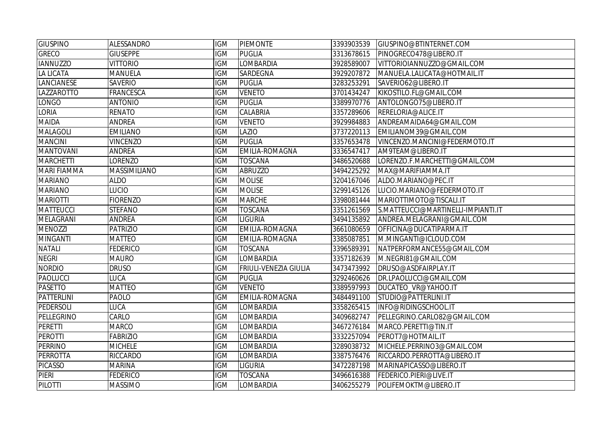| <b>GIUSPINO</b>    | ALESSANDRO       | <b>IGM</b> | <b>PIEMONTE</b>              | 3393903539 | GIUSPINO@BTINTERNET.COM            |
|--------------------|------------------|------------|------------------------------|------------|------------------------------------|
| <b>GRECO</b>       | <b>GIUSEPPE</b>  | <b>IGM</b> | <b>PUGLIA</b>                | 3313678615 | PINOGRECO478@LIBERO.IT             |
| <b>IANNUZZO</b>    | <b>VITTORIO</b>  | <b>IGM</b> | <b>LOMBARDIA</b>             | 3928589007 | VITTORIOIANNUZZO@GMAIL.COM         |
| <b>LA LICATA</b>   | <b>MANUELA</b>   | <b>IGM</b> | <b>SARDEGNA</b>              | 3929207872 | MANUELA.LALICATA@HOTMAIL.IT        |
| LANCIANESE         | <b>SAVERIO</b>   | <b>IGM</b> | <b>PUGLIA</b>                | 3283253291 | SAVERIO62@LIBERO.IT                |
| LAZZAROTTO         | <b>FRANCESCA</b> | <b>IGM</b> | <b>VENETO</b>                | 3701434247 | KIKOSTILO.FL@GMAIL.COM             |
| <b>LONGO</b>       | <b>ANTONIO</b>   | <b>IGM</b> | <b>PUGLIA</b>                | 3389970776 | ANTOLONGO75@LIBERO.IT              |
| <b>LORIA</b>       | <b>RENATO</b>    | <b>IGM</b> | CALABRIA                     | 3357289606 | RERELORIA@ALICE.IT                 |
| <b>MAIDA</b>       | <b>ANDREA</b>    | <b>IGM</b> | <b>VENETO</b>                | 3929984883 | ANDREAMAIDA64@GMAIL.COM            |
| <b>MALAGOLI</b>    | <b>EMILIANO</b>  | <b>IGM</b> | LAZIO                        | 3737220113 | EMILIANOM39@GMAIL.COM              |
| <b>MANCINI</b>     | <b>VINCENZO</b>  | <b>IGM</b> | <b>PUGLIA</b>                | 3357653478 | VINCENZO.MANCINI@FEDERMOTO.IT      |
| <b>MANTOVANI</b>   | <b>ANDREA</b>    | <b>IGM</b> | EMILIA-ROMAGNA               | 3336547417 | AM9TEAM@LIBERO.IT                  |
| <b>MARCHETTI</b>   | LORENZO          | <b>IGM</b> | <b>TOSCANA</b>               | 3486520688 | LORENZO.F.MARCHETTI@GMAIL.COM      |
| <b>MARI FIAMMA</b> | MASSIMILIANO     | <b>IGM</b> | <b>ABRUZZO</b>               | 3494225292 | MAX@MARIFIAMMA.IT                  |
| <b>MARIANO</b>     | <b>ALDO</b>      | <b>IGM</b> | <b>MOLISE</b>                | 3204167046 | ALDO.MARIANO@PEC.IT                |
| <b>MARIANO</b>     | <b>LUCIO</b>     | <b>IGM</b> | <b>MOLISE</b>                | 3299145126 | LUCIO.MARIANO@FEDERMOTO.IT         |
| <b>MARIOTTI</b>    | <b>FIORENZO</b>  | <b>IGM</b> | <b>MARCHE</b>                | 3398081444 | MARIOTTIMOTO@TISCALI.IT            |
| <b>MATTEUCCI</b>   | <b>STEFANO</b>   | <b>IGM</b> | <b>TOSCANA</b>               | 3351261569 | S.MATTEUCCI@MARTINELLI-IMPIANTI.IT |
| <b>MELAGRANI</b>   | <b>ANDREA</b>    | <b>IGM</b> | <b>LIGURIA</b>               | 3494135892 | ANDREA.MELAGRANI@GMAIL.COM         |
| <b>MENOZZI</b>     | <b>PATRIZIO</b>  | <b>IGM</b> | EMILIA-ROMAGNA               | 3661080659 | OFFICINA@DUCATIPARMA.IT            |
| <b>MINGANTI</b>    | <b>MATTEO</b>    | <b>IGM</b> | <b>EMILIA-ROMAGNA</b>        | 3385087851 | M.MINGANTI@ICLOUD.COM              |
| <b>NATALI</b>      | <b>FEDERICO</b>  | <b>IGM</b> | <b>TOSCANA</b>               | 3396589391 | NATPERFORMANCE55@GMAIL.COM         |
| <b>NEGRI</b>       | <b>MAURO</b>     | <b>IGM</b> | <b>LOMBARDIA</b>             | 3357182639 | M.NEGRI81@GMAIL.COM                |
| <b>NORDIO</b>      | <b>DRUSO</b>     | <b>IGM</b> | <b>FRIULI-VENEZIA GIULIA</b> | 3473473992 | DRUSO@ASDFAIRPLAY.IT               |
| <b>PAOLUCCI</b>    | <b>LUCA</b>      | <b>IGM</b> | <b>PUGLIA</b>                | 3292460626 | DR.LPAOLUCCI@GMAIL.COM             |
| <b>PASETTO</b>     | <b>MATTEO</b>    | <b>IGM</b> | <b>VENETO</b>                | 3389597993 | DUCATEO_VR@YAHOO.IT                |
| PATTERLINI         | <b>PAOLO</b>     | <b>IGM</b> | EMILIA-ROMAGNA               | 3484491100 | STUDIO@PATTERLINI.IT               |
| PEDERSOLI          | <b>LUCA</b>      | <b>IGM</b> | <b>LOMBARDIA</b>             | 3358265415 | INFO@RIDINGSCHOOL.IT               |
| PELLEGRINO         | CARLO            | <b>IGM</b> | <b>LOMBARDIA</b>             | 3409682747 | PELLEGRINO.CARLO82@GMAIL.COM       |
| <b>PERETTI</b>     | <b>MARCO</b>     | <b>IGM</b> | LOMBARDIA                    | 3467276184 | MARCO.PERETTI@TIN.IT               |
| <b>PEROTTI</b>     | <b>FABRIZIO</b>  | <b>IGM</b> | LOMBARDIA                    | 3332257094 | PEROT7@HOTMAIL.IT                  |
| <b>PERRINO</b>     | <b>MICHELE</b>   | <b>IGM</b> | LOMBARDIA                    | 3289038732 | MICHELE.PERRINO3@GMAIL.COM         |
| <b>PERROTTA</b>    | <b>RICCARDO</b>  | <b>IGM</b> | <b>LOMBARDIA</b>             | 3387576476 | RICCARDO.PERROTTA@LIBERO.IT        |
| <b>PICASSO</b>     | <b>MARINA</b>    | <b>IGM</b> | <b>LIGURIA</b>               | 3472287198 | MARINAPICASSO@LIBERO.IT            |
| PIERI              | <b>FEDERICO</b>  | <b>IGM</b> | <b>TOSCANA</b>               | 3496616388 | FEDERICO.PIERI@LIVE.IT             |
| <b>PILOTTI</b>     | <b>MASSIMO</b>   | <b>IGM</b> | <b>LOMBARDIA</b>             | 3406255279 | POLIFEMOKTM@LIBERO.IT              |